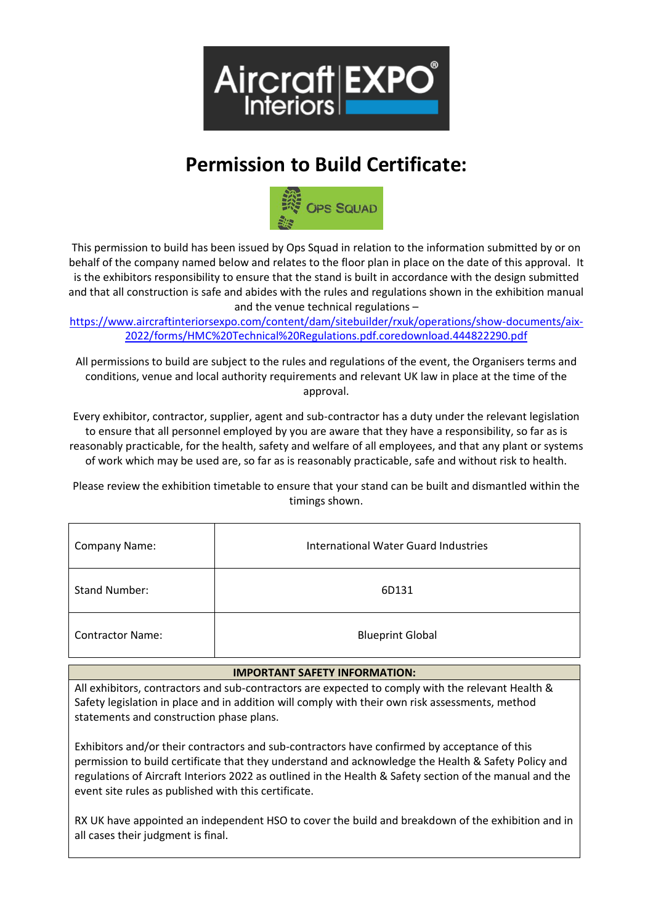

# **Permission to Build Certificate:**



This permission to build has been issued by Ops Squad in relation to the information submitted by or on behalf of the company named below and relates to the floor plan in place on the date of this approval. It is the exhibitors responsibility to ensure that the stand is built in accordance with the design submitted and that all construction is safe and abides with the rules and regulations shown in the exhibition manual and the venue technical regulations –

[https://www.aircraftinteriorsexpo.com/content/dam/sitebuilder/rxuk/operations/show-documents/aix-](https://www.aircraftinteriorsexpo.com/content/dam/sitebuilder/rxuk/operations/show-documents/aix-2022/forms/HMC%20Technical%20Regulations.pdf.coredownload.444822290.pdf)[2022/forms/HMC%20Technical%20Regulations.pdf.coredownload.444822290.pdf](https://www.aircraftinteriorsexpo.com/content/dam/sitebuilder/rxuk/operations/show-documents/aix-2022/forms/HMC%20Technical%20Regulations.pdf.coredownload.444822290.pdf)

All permissions to build are subject to the rules and regulations of the event, the Organisers terms and conditions, venue and local authority requirements and relevant UK law in place at the time of the approval.

Every exhibitor, contractor, supplier, agent and sub-contractor has a duty under the relevant legislation to ensure that all personnel employed by you are aware that they have a responsibility, so far as is reasonably practicable, for the health, safety and welfare of all employees, and that any plant or systems of work which may be used are, so far as is reasonably practicable, safe and without risk to health.

Please review the exhibition timetable to ensure that your stand can be built and dismantled within the timings shown.

| <b>Company Name:</b>    | International Water Guard Industries |
|-------------------------|--------------------------------------|
| <b>Stand Number:</b>    | 6D131                                |
| <b>Contractor Name:</b> | <b>Blueprint Global</b>              |

### **IMPORTANT SAFETY INFORMATION:**

All exhibitors, contractors and sub-contractors are expected to comply with the relevant Health & Safety legislation in place and in addition will comply with their own risk assessments, method statements and construction phase plans.

Exhibitors and/or their contractors and sub-contractors have confirmed by acceptance of this permission to build certificate that they understand and acknowledge the Health & Safety Policy and regulations of Aircraft Interiors 2022 as outlined in the Health & Safety section of the manual and the event site rules as published with this certificate.

RX UK have appointed an independent HSO to cover the build and breakdown of the exhibition and in all cases their judgment is final.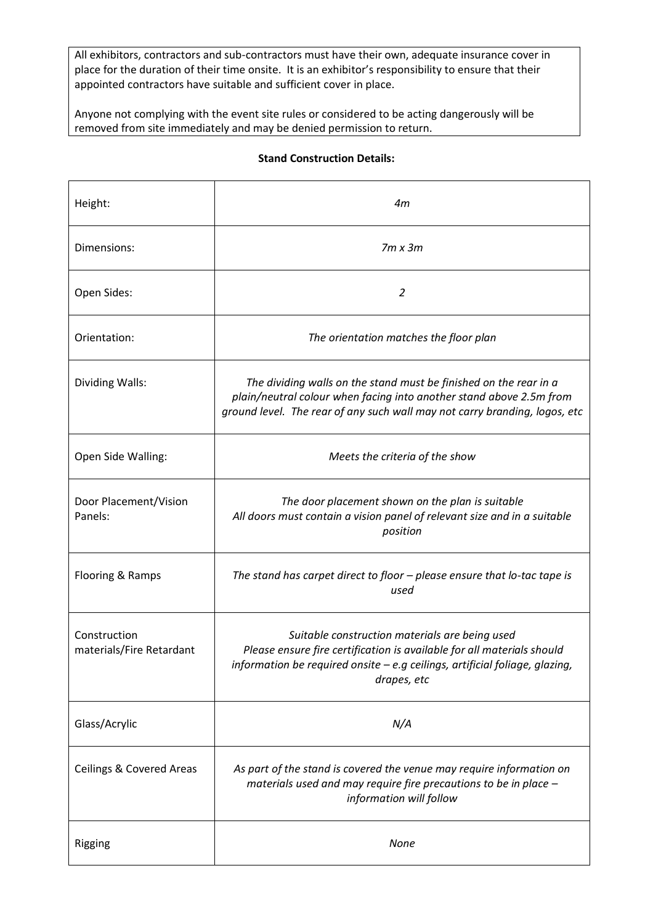All exhibitors, contractors and sub-contractors must have their own, adequate insurance cover in place for the duration of their time onsite. It is an exhibitor's responsibility to ensure that their appointed contractors have suitable and sufficient cover in place.

Anyone not complying with the event site rules or considered to be acting dangerously will be removed from site immediately and may be denied permission to return.

| Height:                                  | 4m                                                                                                                                                                                                                     |
|------------------------------------------|------------------------------------------------------------------------------------------------------------------------------------------------------------------------------------------------------------------------|
| Dimensions:                              | $7m \times 3m$                                                                                                                                                                                                         |
| Open Sides:                              | 2                                                                                                                                                                                                                      |
| Orientation:                             | The orientation matches the floor plan                                                                                                                                                                                 |
| Dividing Walls:                          | The dividing walls on the stand must be finished on the rear in a<br>plain/neutral colour when facing into another stand above 2.5m from<br>ground level. The rear of any such wall may not carry branding, logos, etc |
| Open Side Walling:                       | Meets the criteria of the show                                                                                                                                                                                         |
| Door Placement/Vision<br>Panels:         | The door placement shown on the plan is suitable<br>All doors must contain a vision panel of relevant size and in a suitable<br>position                                                                               |
| Flooring & Ramps                         | The stand has carpet direct to floor - please ensure that lo-tac tape is<br>used                                                                                                                                       |
| Construction<br>materials/Fire Retardant | Suitable construction materials are being used<br>Please ensure fire certification is available for all materials should<br>information be required onsite - e.g ceilings, artificial foliage, glazing,<br>drapes, etc |
| Glass/Acrylic                            | N/A                                                                                                                                                                                                                    |
| <b>Ceilings &amp; Covered Areas</b>      | As part of the stand is covered the venue may require information on<br>materials used and may require fire precautions to be in place -<br>information will follow                                                    |
| Rigging                                  | <b>None</b>                                                                                                                                                                                                            |

## **Stand Construction Details:**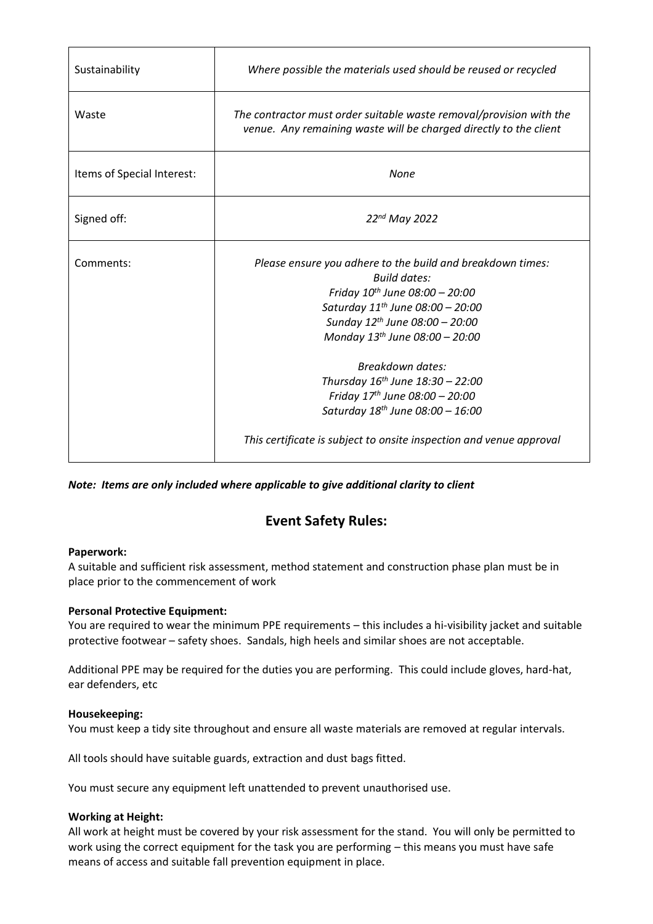| Sustainability             | Where possible the materials used should be reused or recycled                                                                                                                                                                                                                                                                                                                                                                                                                     |
|----------------------------|------------------------------------------------------------------------------------------------------------------------------------------------------------------------------------------------------------------------------------------------------------------------------------------------------------------------------------------------------------------------------------------------------------------------------------------------------------------------------------|
| Waste                      | The contractor must order suitable waste removal/provision with the<br>venue. Any remaining waste will be charged directly to the client                                                                                                                                                                                                                                                                                                                                           |
| Items of Special Interest: | None                                                                                                                                                                                                                                                                                                                                                                                                                                                                               |
| Signed off:                | 22nd May 2022                                                                                                                                                                                                                                                                                                                                                                                                                                                                      |
| Comments:                  | Please ensure you adhere to the build and breakdown times:<br><b>Build dates:</b><br>Friday $10^{th}$ June 08:00 - 20:00<br>Saturday $11^{th}$ June 08:00 - 20:00<br>Sunday 12th June 08:00 - 20:00<br>Monday 13 <sup>th</sup> June 08:00 - 20:00<br><b>Breakdown dates:</b><br>Thursday $16^{th}$ June $18:30 - 22:00$<br>Friday $17th$ June 08:00 - 20:00<br>Saturday 18 <sup>th</sup> June 08:00 - 16:00<br>This certificate is subject to onsite inspection and venue approval |

*Note: Items are only included where applicable to give additional clarity to client*

# **Event Safety Rules:**

### **Paperwork:**

A suitable and sufficient risk assessment, method statement and construction phase plan must be in place prior to the commencement of work

# **Personal Protective Equipment:**

You are required to wear the minimum PPE requirements – this includes a hi-visibility jacket and suitable protective footwear – safety shoes. Sandals, high heels and similar shoes are not acceptable.

Additional PPE may be required for the duties you are performing. This could include gloves, hard-hat, ear defenders, etc

### **Housekeeping:**

You must keep a tidy site throughout and ensure all waste materials are removed at regular intervals.

All tools should have suitable guards, extraction and dust bags fitted.

You must secure any equipment left unattended to prevent unauthorised use.

### **Working at Height:**

All work at height must be covered by your risk assessment for the stand. You will only be permitted to work using the correct equipment for the task you are performing – this means you must have safe means of access and suitable fall prevention equipment in place.